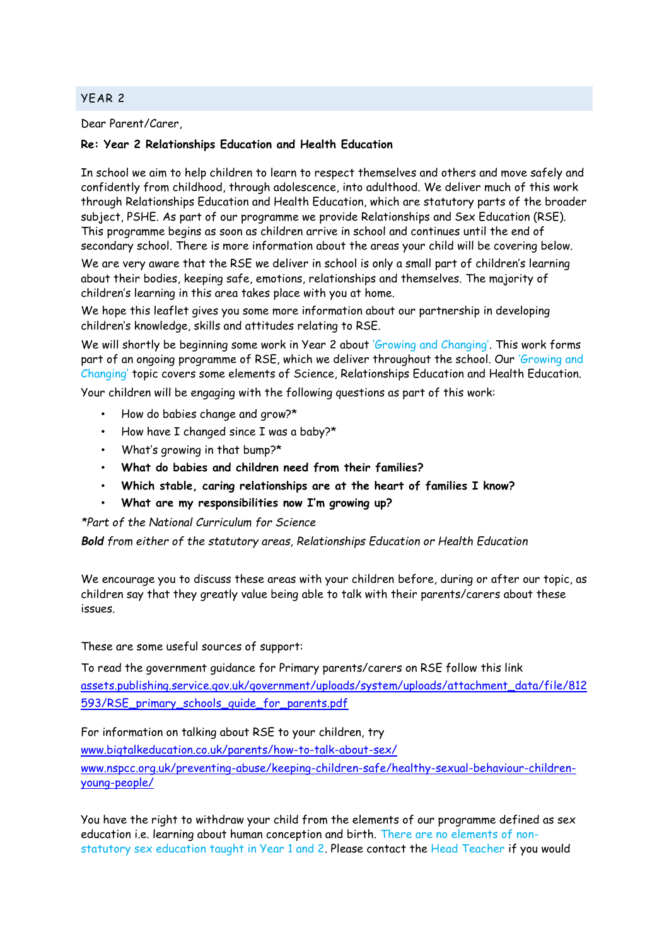## YEAR 2

Dear Parent/Carer,

## **Re: Year 2 Relationships Education and Health Education**

In school we aim to help children to learn to respect themselves and others and move safely and confidently from childhood, through adolescence, into adulthood. We deliver much of this work through Relationships Education and Health Education, which are statutory parts of the broader subject, PSHE. As part of our programme we provide Relationships and Sex Education (RSE). This programme begins as soon as children arrive in school and continues until the end of secondary school. There is more information about the areas your child will be covering below.

We are very aware that the RSE we deliver in school is only a small part of children's learning about their bodies, keeping safe, emotions, relationships and themselves. The majority of children's learning in this area takes place with you at home.

We hope this leaflet gives you some more information about our partnership in developing children's knowledge, skills and attitudes relating to RSE.

We will shortly be beginning some work in Year 2 about 'Growing and Changing'. This work forms part of an ongoing programme of RSE, which we deliver throughout the school. Our 'Growing and Changing' topic covers some elements of Science, Relationships Education and Health Education.

Your children will be engaging with the following questions as part of this work:

- How do babies change and grow?\*
- How have I changed since I was a baby?\*
- What's growing in that bump?\*
- **What do babies and children need from their families?**
- **Which stable, caring relationships are at the heart of families I know?**
- **What are my responsibilities now I'm growing up?**

*\*Part of the National Curriculum for Science*

*Bold from either of the statutory areas, Relationships Education or Health Education*

We encourage you to discuss these areas with your children before, during or after our topic, as children say that they greatly value being able to talk with their parents/carers about these issues.

These are some useful sources of support:

To read the government guidance for Primary parents/carers on RSE follow this link [assets.publishing.service.gov.uk/government/uploads/system/uploads/attachment\\_data/file/812](https://assets.publishing.service.gov.uk/government/uploads/system/uploads/attachment_data/file/812593/RSE_primary_schools_guide_for_parents.pdf) [593/RSE\\_primary\\_schools\\_guide\\_for\\_parents.pdf](https://assets.publishing.service.gov.uk/government/uploads/system/uploads/attachment_data/file/812593/RSE_primary_schools_guide_for_parents.pdf)

For information on talking about RSE to your children, try

[www.bigtalkeducation.co.uk/parents/how-to-talk-about-sex/](http://www.bigtalkeducation.co.uk/parents/how-to-talk-about-sex/)

[www.nspcc.org.uk/preventing-abuse/keeping-children-safe/healthy-sexual-behaviour-children](http://www.nspcc.org.uk/preventing-abuse/keeping-children-safe/healthy-sexual-behaviour-children-young-people/)[young-people/](http://www.nspcc.org.uk/preventing-abuse/keeping-children-safe/healthy-sexual-behaviour-children-young-people/)

You have the right to withdraw your child from the elements of our programme defined as sex education i.e. learning about human conception and birth. There are no elements of nonstatutory sex education taught in Year 1 and 2. Please contact the Head Teacher if you would